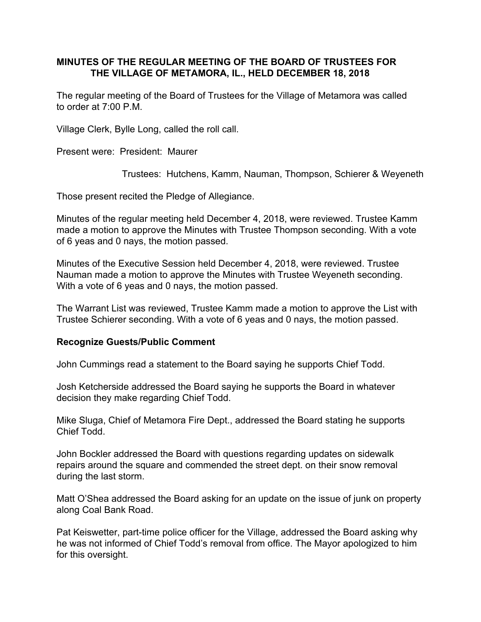# **MINUTES OF THE REGULAR MEETING OF THE BOARD OF TRUSTEES FOR THE VILLAGE OF METAMORA, IL., HELD DECEMBER 18, 2018**

The regular meeting of the Board of Trustees for the Village of Metamora was called to order at 7:00 P.M.

Village Clerk, Bylle Long, called the roll call.

Present were: President: Maurer

Trustees: Hutchens, Kamm, Nauman, Thompson, Schierer & Weyeneth

Those present recited the Pledge of Allegiance.

Minutes of the regular meeting held December 4, 2018, were reviewed. Trustee Kamm made a motion to approve the Minutes with Trustee Thompson seconding. With a vote of 6 yeas and 0 nays, the motion passed.

Minutes of the Executive Session held December 4, 2018, were reviewed. Trustee Nauman made a motion to approve the Minutes with Trustee Weyeneth seconding. With a vote of 6 yeas and 0 nays, the motion passed.

The Warrant List was reviewed, Trustee Kamm made a motion to approve the List with Trustee Schierer seconding. With a vote of 6 yeas and 0 nays, the motion passed.

### **Recognize Guests/Public Comment**

John Cummings read a statement to the Board saying he supports Chief Todd.

Josh Ketcherside addressed the Board saying he supports the Board in whatever decision they make regarding Chief Todd.

Mike Sluga, Chief of Metamora Fire Dept., addressed the Board stating he supports Chief Todd.

John Bockler addressed the Board with questions regarding updates on sidewalk repairs around the square and commended the street dept. on their snow removal during the last storm.

Matt O'Shea addressed the Board asking for an update on the issue of junk on property along Coal Bank Road.

Pat Keiswetter, part-time police officer for the Village, addressed the Board asking why he was not informed of Chief Todd's removal from office. The Mayor apologized to him for this oversight.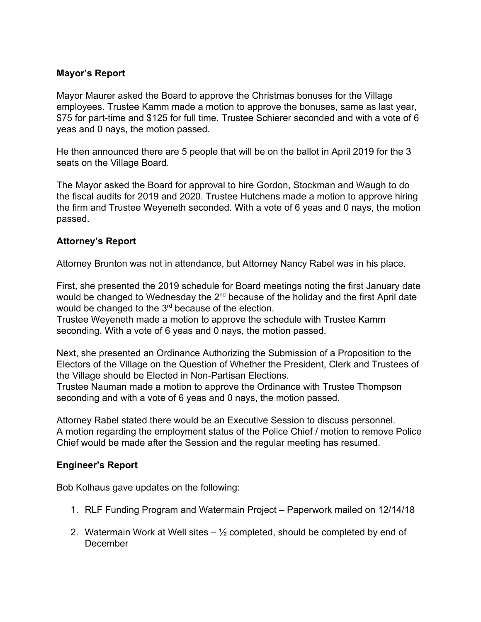# **Mayor's Report**

Mayor Maurer asked the Board to approve the Christmas bonuses for the Village employees. Trustee Kamm made a motion to approve the bonuses, same as last year, \$75 for part-time and \$125 for full time. Trustee Schierer seconded and with a vote of 6 yeas and 0 nays, the motion passed.

He then announced there are 5 people that will be on the ballot in April 2019 for the 3 seats on the Village Board.

The Mayor asked the Board for approval to hire Gordon, Stockman and Waugh to do the fiscal audits for 2019 and 2020. Trustee Hutchens made a motion to approve hiring the firm and Trustee Weyeneth seconded. With a vote of 6 yeas and 0 nays, the motion passed.

# **Attorney's Report**

Attorney Brunton was not in attendance, but Attorney Nancy Rabel was in his place.

First, she presented the 2019 schedule for Board meetings noting the first January date would be changed to Wednesday the  $2^{nd}$  because of the holiday and the first April date would be changed to the  $3<sup>rd</sup>$  because of the election.

Trustee Weyeneth made a motion to approve the schedule with Trustee Kamm seconding. With a vote of 6 yeas and 0 nays, the motion passed.

Next, she presented an Ordinance Authorizing the Submission of a Proposition to the Electors of the Village on the Question of Whether the President, Clerk and Trustees of the Village should be Elected in Non-Partisan Elections.

Trustee Nauman made a motion to approve the Ordinance with Trustee Thompson seconding and with a vote of 6 yeas and 0 nays, the motion passed.

Attorney Rabel stated there would be an Executive Session to discuss personnel. A motion regarding the employment status of the Police Chief / motion to remove Police Chief would be made after the Session and the regular meeting has resumed.

### **Engineer's Report**

Bob Kolhaus gave updates on the following:

- 1. RLF Funding Program and Watermain Project Paperwork mailed on 12/14/18
- 2. Watermain Work at Well sites  $-$  1/<sub>2</sub> completed, should be completed by end of December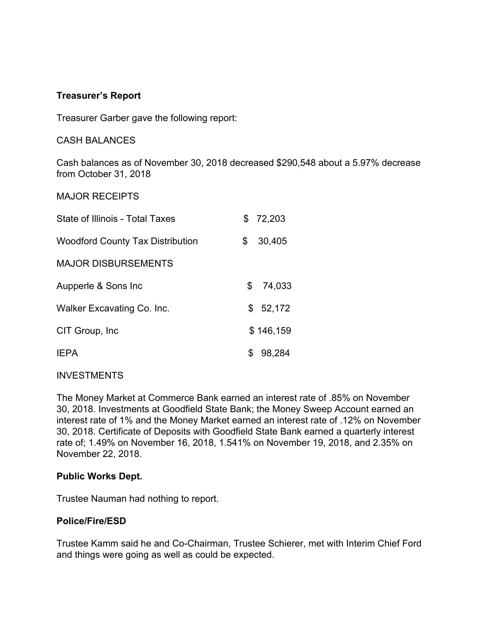## **Treasurer's Report**

Treasurer Garber gave the following report:

CASH BALANCES

Cash balances as of November 30, 2018 decreased \$290,548 about a 5.97% decrease from October 31, 2018

#### MAJOR RECEIPTS

| State of Illinois - Total Taxes         | \$72,203     |
|-----------------------------------------|--------------|
| <b>Woodford County Tax Distribution</b> | \$<br>30,405 |
| <b>MAJOR DISBURSEMENTS</b>              |              |
| Aupperle & Sons Inc                     | \$<br>74,033 |
| Walker Excavating Co. Inc.              | \$<br>52,172 |
| CIT Group, Inc.                         | \$146,159    |
| <b>IFPA</b>                             | \$<br>98,284 |

### INVESTMENTS

The Money Market at Commerce Bank earned an interest rate of .85% on November 30, 2018. Investments at Goodfield State Bank; the Money Sweep Account earned an interest rate of 1% and the Money Market earned an interest rate of .12% on November 30, 2018. Certificate of Deposits with Goodfield State Bank earned a quarterly interest rate of; 1.49% on November 16, 2018, 1.541% on November 19, 2018, and 2.35% on November 22, 2018.

### **Public Works Dept.**

Trustee Nauman had nothing to report.

### **Police/Fire/ESD**

Trustee Kamm said he and Co-Chairman, Trustee Schierer, met with Interim Chief Ford and things were going as well as could be expected.